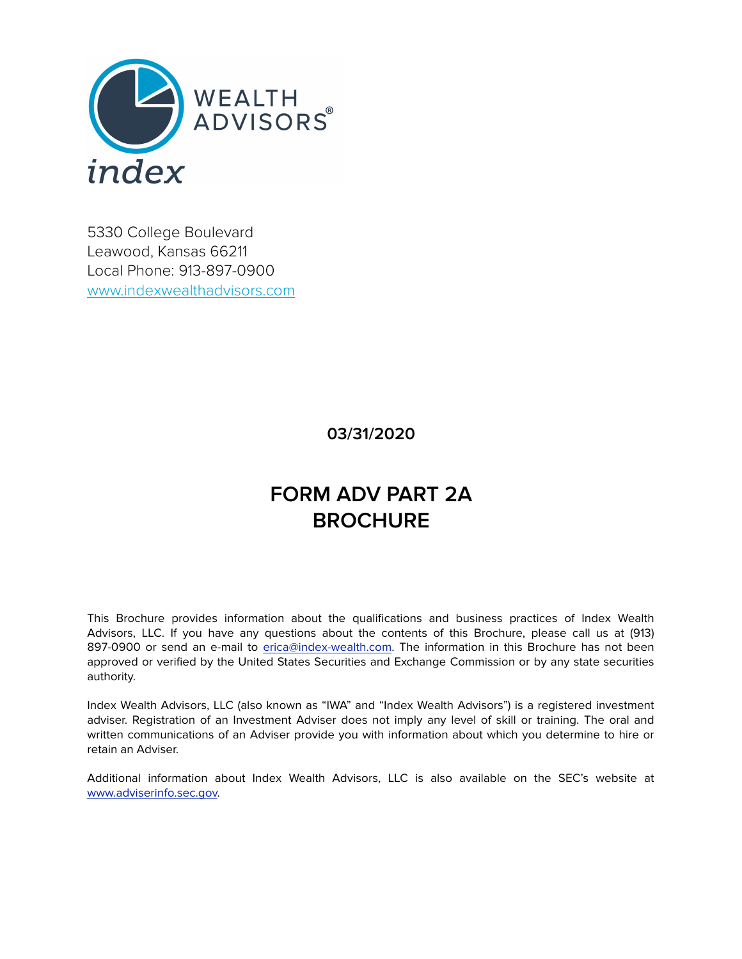

5330 College Boulevard Leawood, Kansas 66211 Local Phone: 913-897-0900 [www.indexwealthadvisors.com](http://www.indexportfoliosolutions.com)

## **03/31/2020**

# **FORM ADV PART 2A BROCHURE**

This Brochure provides information about the qualifications and business practices of Index Wealth Advisors, LLC. If you have any questions about the contents of this Brochure, please call us at (913) 897-0900 or send an e-mail to [erica@index-wealth.com](mailto:erica@index-wealth.com). The information in this Brochure has not been approved or verified by the United States Securities and Exchange Commission or by any state securities authority.

Index Wealth Advisors, LLC (also known as "IWA" and "Index Wealth Advisors") is a registered investment adviser. Registration of an Investment Adviser does not imply any level of skill or training. The oral and written communications of an Adviser provide you with information about which you determine to hire or retain an Adviser.

Additional information about Index Wealth Advisors, LLC is also available on the SEC's website at [www.adviserinfo.sec.gov.](http://www.adviserinfo.sec.gov)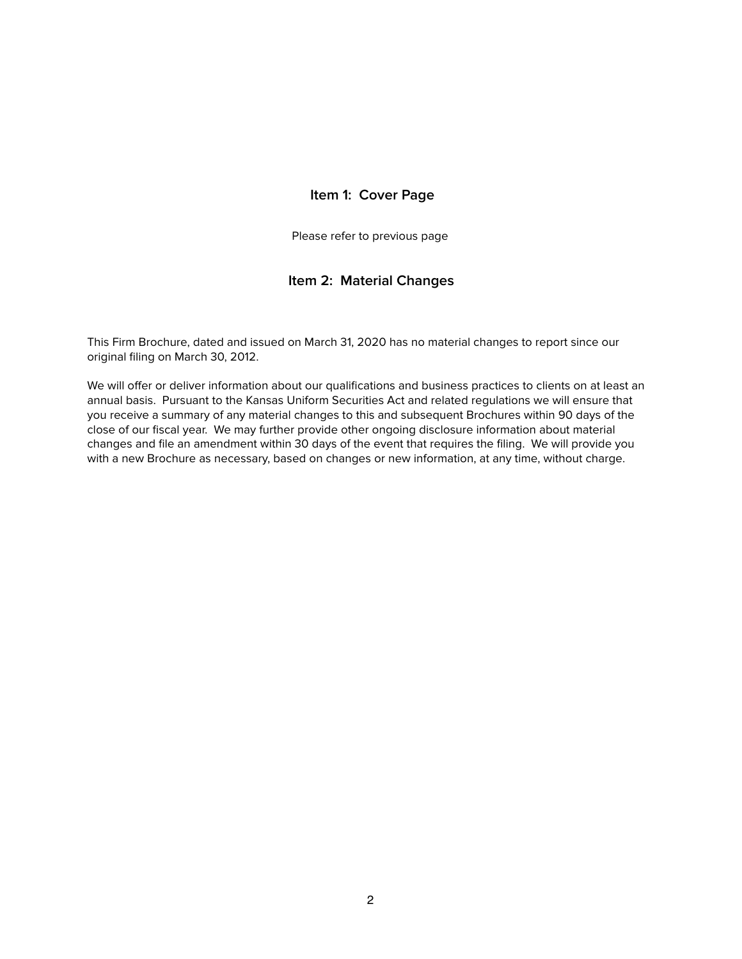## **Item 1: Cover Page**

Please refer to previous page

## **Item 2: Material Changes**

This Firm Brochure, dated and issued on March 31, 2020 has no material changes to report since our original filing on March 30, 2012.

We will offer or deliver information about our qualifications and business practices to clients on at least an annual basis. Pursuant to the Kansas Uniform Securities Act and related regulations we will ensure that you receive a summary of any material changes to this and subsequent Brochures within 90 days of the close of our fiscal year. We may further provide other ongoing disclosure information about material changes and file an amendment within 30 days of the event that requires the filing. We will provide you with a new Brochure as necessary, based on changes or new information, at any time, without charge.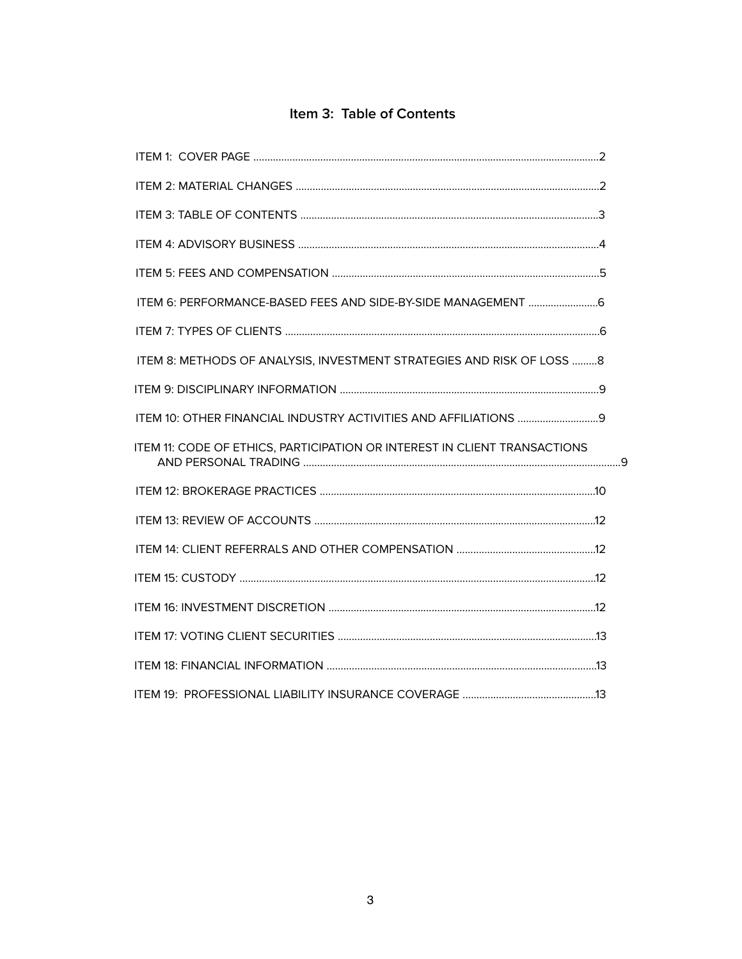## Item 3: Table of Contents

| ITEM 8: METHODS OF ANALYSIS, INVESTMENT STRATEGIES AND RISK OF LOSS 8     |  |
|---------------------------------------------------------------------------|--|
|                                                                           |  |
|                                                                           |  |
| ITEM 11: CODE OF ETHICS, PARTICIPATION OR INTEREST IN CLIENT TRANSACTIONS |  |
|                                                                           |  |
|                                                                           |  |
|                                                                           |  |
|                                                                           |  |
|                                                                           |  |
|                                                                           |  |
|                                                                           |  |
|                                                                           |  |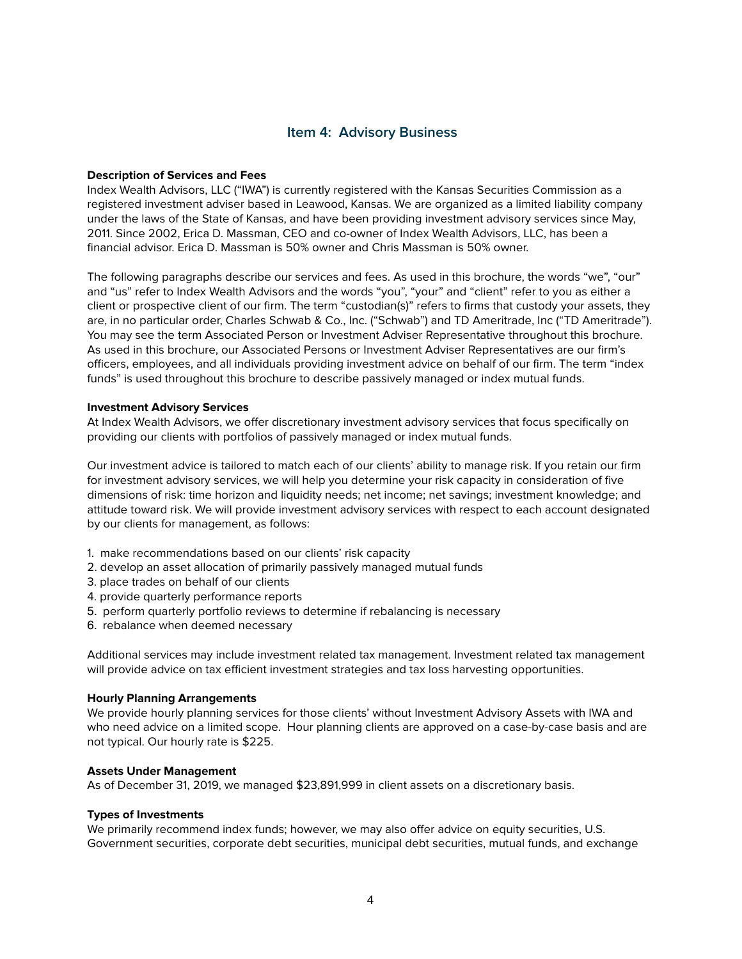## **Item 4: Advisory Business**

#### **Description of Services and Fees**

Index Wealth Advisors, LLC ("IWA") is currently registered with the Kansas Securities Commission as a registered investment adviser based in Leawood, Kansas. We are organized as a limited liability company under the laws of the State of Kansas, and have been providing investment advisory services since May, 2011. Since 2002, Erica D. Massman, CEO and co-owner of Index Wealth Advisors, LLC, has been a financial advisor. Erica D. Massman is 50% owner and Chris Massman is 50% owner.

The following paragraphs describe our services and fees. As used in this brochure, the words "we", "our" and "us" refer to Index Wealth Advisors and the words "you", "your" and "client" refer to you as either a client or prospective client of our firm. The term "custodian(s)" refers to firms that custody your assets, they are, in no particular order, Charles Schwab & Co., Inc. ("Schwab") and TD Ameritrade, Inc ("TD Ameritrade"). You may see the term Associated Person or Investment Adviser Representative throughout this brochure. As used in this brochure, our Associated Persons or Investment Adviser Representatives are our firm's officers, employees, and all individuals providing investment advice on behalf of our firm. The term "index funds" is used throughout this brochure to describe passively managed or index mutual funds.

#### **Investment Advisory Services**

At Index Wealth Advisors, we offer discretionary investment advisory services that focus specifically on providing our clients with portfolios of passively managed or index mutual funds.

Our investment advice is tailored to match each of our clients' ability to manage risk. If you retain our firm for investment advisory services, we will help you determine your risk capacity in consideration of five dimensions of risk: time horizon and liquidity needs; net income; net savings; investment knowledge; and attitude toward risk. We will provide investment advisory services with respect to each account designated by our clients for management, as follows:

- 1. make recommendations based on our clients' risk capacity
- 2. develop an asset allocation of primarily passively managed mutual funds
- 3. place trades on behalf of our clients
- 4. provide quarterly performance reports
- 5. perform quarterly portfolio reviews to determine if rebalancing is necessary
- 6. rebalance when deemed necessary

Additional services may include investment related tax management. Investment related tax management will provide advice on tax efficient investment strategies and tax loss harvesting opportunities.

#### **Hourly Planning Arrangements**

We provide hourly planning services for those clients' without Investment Advisory Assets with IWA and who need advice on a limited scope. Hour planning clients are approved on a case-by-case basis and are not typical. Our hourly rate is \$225.

#### **Assets Under Management**

As of December 31, 2019, we managed \$23,891,999 in client assets on a discretionary basis.

#### **Types of Investments**

We primarily recommend index funds; however, we may also offer advice on equity securities, U.S. Government securities, corporate debt securities, municipal debt securities, mutual funds, and exchange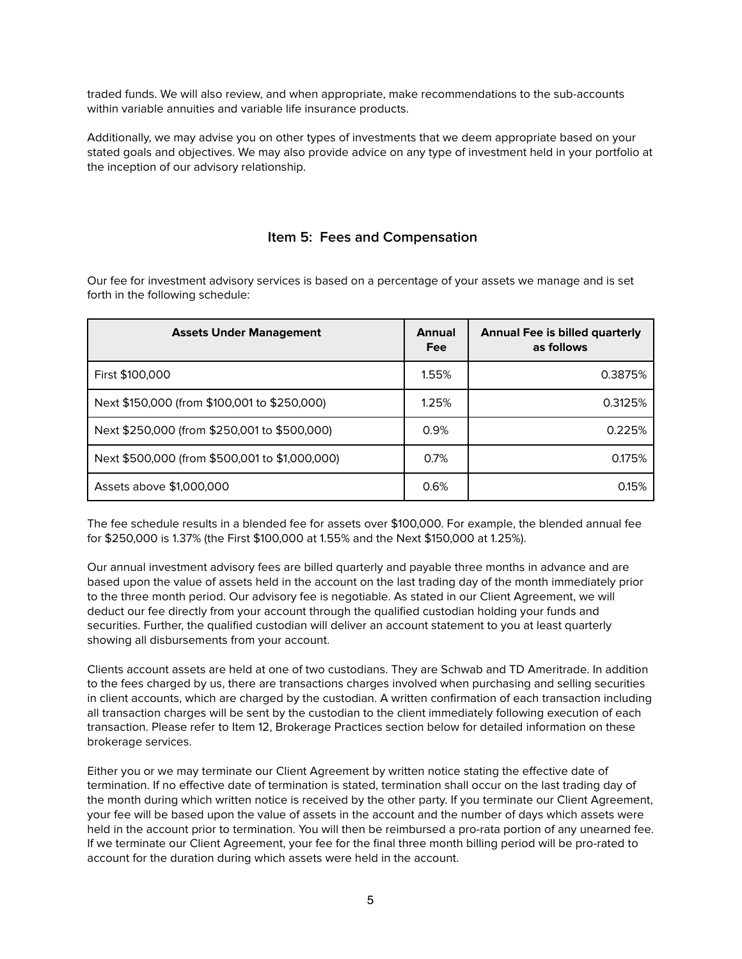traded funds. We will also review, and when appropriate, make recommendations to the sub-accounts within variable annuities and variable life insurance products.

Additionally, we may advise you on other types of investments that we deem appropriate based on your stated goals and objectives. We may also provide advice on any type of investment held in your portfolio at the inception of our advisory relationship.

## **Item 5: Fees and Compensation**

Our fee for investment advisory services is based on a percentage of your assets we manage and is set forth in the following schedule:

| <b>Assets Under Management</b>                 | <b>Annual</b><br>Fee | <b>Annual Fee is billed quarterly</b><br>as follows |
|------------------------------------------------|----------------------|-----------------------------------------------------|
| First \$100,000                                | 1.55%                | 0.3875%                                             |
| Next \$150,000 (from \$100,001 to \$250,000)   | 1.25%                | 0.3125%                                             |
| Next \$250,000 (from \$250,001 to \$500,000)   | 0.9%                 | 0.225%                                              |
| Next \$500,000 (from \$500,001 to \$1,000,000) | 0.7%                 | 0.175%                                              |
| Assets above \$1,000,000                       | 0.6%                 | 0.15%                                               |

The fee schedule results in a blended fee for assets over \$100,000. For example, the blended annual fee for \$250,000 is 1.37% (the First \$100,000 at 1.55% and the Next \$150,000 at 1.25%).

Our annual investment advisory fees are billed quarterly and payable three months in advance and are based upon the value of assets held in the account on the last trading day of the month immediately prior to the three month period. Our advisory fee is negotiable. As stated in our Client Agreement, we will deduct our fee directly from your account through the qualified custodian holding your funds and securities. Further, the qualified custodian will deliver an account statement to you at least quarterly showing all disbursements from your account.

Clients account assets are held at one of two custodians. They are Schwab and TD Ameritrade. In addition to the fees charged by us, there are transactions charges involved when purchasing and selling securities in client accounts, which are charged by the custodian. A written confirmation of each transaction including all transaction charges will be sent by the custodian to the client immediately following execution of each transaction. Please refer to Item 12, Brokerage Practices section below for detailed information on these brokerage services.

Either you or we may terminate our Client Agreement by written notice stating the effective date of termination. If no effective date of termination is stated, termination shall occur on the last trading day of the month during which written notice is received by the other party. If you terminate our Client Agreement, your fee will be based upon the value of assets in the account and the number of days which assets were held in the account prior to termination. You will then be reimbursed a pro-rata portion of any unearned fee. If we terminate our Client Agreement, your fee for the final three month billing period will be pro-rated to account for the duration during which assets were held in the account.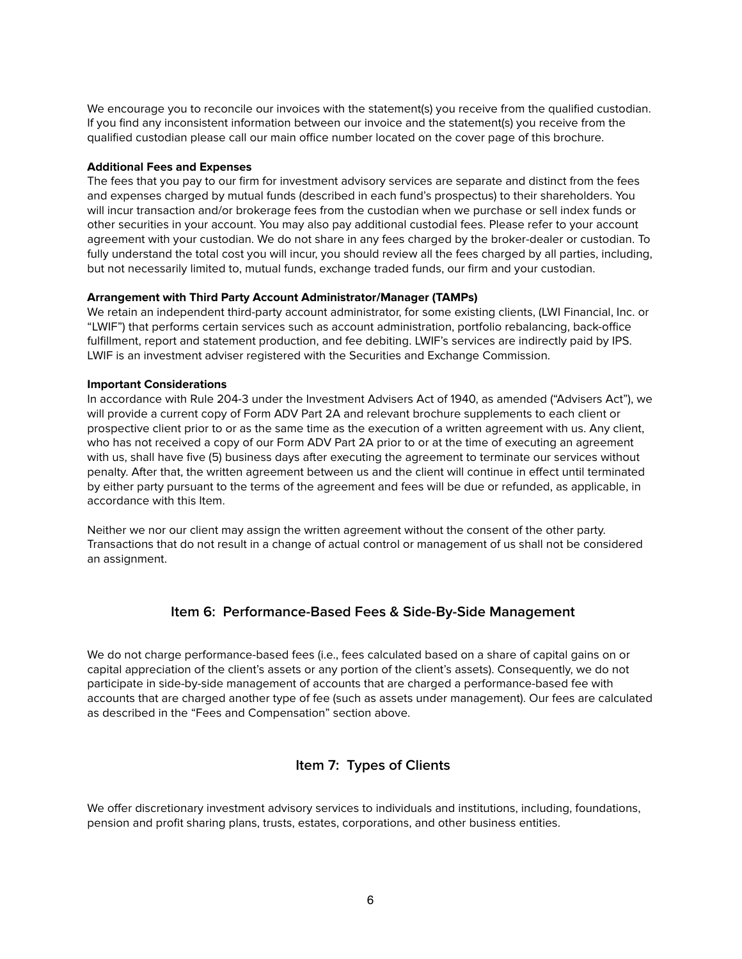We encourage you to reconcile our invoices with the statement(s) you receive from the qualified custodian. If you find any inconsistent information between our invoice and the statement(s) you receive from the qualified custodian please call our main office number located on the cover page of this brochure.

#### **Additional Fees and Expenses**

The fees that you pay to our firm for investment advisory services are separate and distinct from the fees and expenses charged by mutual funds (described in each fund's prospectus) to their shareholders. You will incur transaction and/or brokerage fees from the custodian when we purchase or sell index funds or other securities in your account. You may also pay additional custodial fees. Please refer to your account agreement with your custodian. We do not share in any fees charged by the broker-dealer or custodian. To fully understand the total cost you will incur, you should review all the fees charged by all parties, including, but not necessarily limited to, mutual funds, exchange traded funds, our firm and your custodian.

#### **Arrangement with Third Party Account Administrator/Manager (TAMPs)**

We retain an independent third-party account administrator, for some existing clients, (LWI Financial, Inc. or "LWIF") that performs certain services such as account administration, portfolio rebalancing, back-office fulfillment, report and statement production, and fee debiting. LWIF's services are indirectly paid by IPS. LWIF is an investment adviser registered with the Securities and Exchange Commission.

#### **Important Considerations**

In accordance with Rule 204-3 under the Investment Advisers Act of 1940, as amended ("Advisers Act"), we will provide a current copy of Form ADV Part 2A and relevant brochure supplements to each client or prospective client prior to or as the same time as the execution of a written agreement with us. Any client, who has not received a copy of our Form ADV Part 2A prior to or at the time of executing an agreement with us, shall have five (5) business days after executing the agreement to terminate our services without penalty. After that, the written agreement between us and the client will continue in effect until terminated by either party pursuant to the terms of the agreement and fees will be due or refunded, as applicable, in accordance with this Item.

Neither we nor our client may assign the written agreement without the consent of the other party. Transactions that do not result in a change of actual control or management of us shall not be considered an assignment.

## **Item 6: Performance-Based Fees & Side-By-Side Management**

We do not charge performance-based fees (i.e., fees calculated based on a share of capital gains on or capital appreciation of the client's assets or any portion of the client's assets). Consequently, we do not participate in side-by-side management of accounts that are charged a performance-based fee with accounts that are charged another type of fee (such as assets under management). Our fees are calculated as described in the "Fees and Compensation" section above.

## **Item 7: Types of Clients**

We offer discretionary investment advisory services to individuals and institutions, including, foundations, pension and profit sharing plans, trusts, estates, corporations, and other business entities.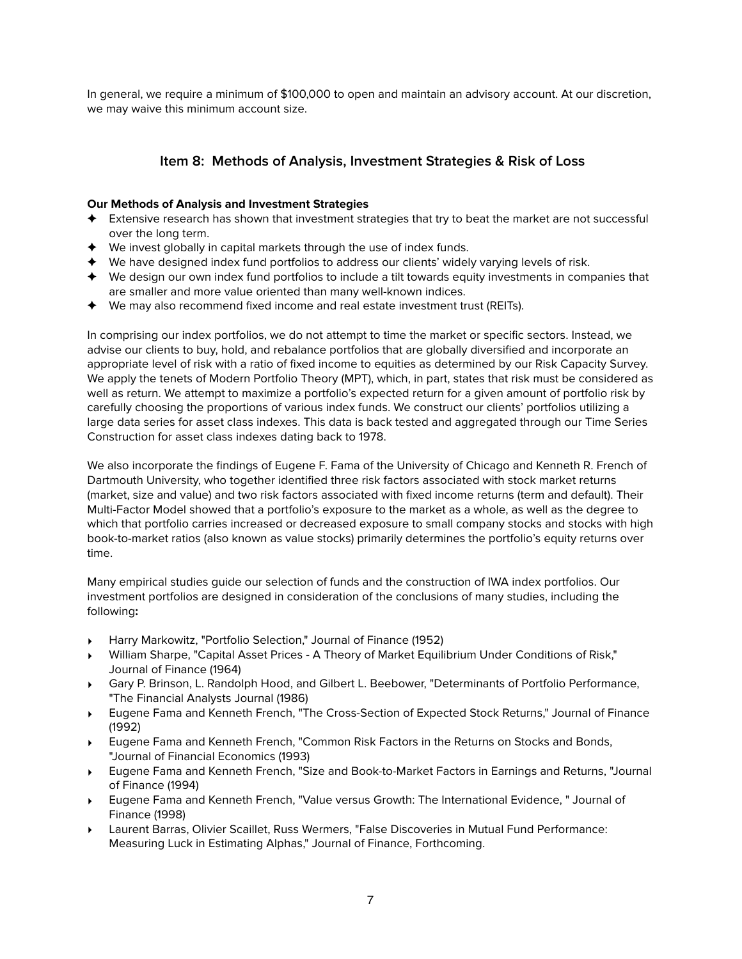In general, we require a minimum of \$100,000 to open and maintain an advisory account. At our discretion, we may waive this minimum account size.

## **Item 8: Methods of Analysis, Investment Strategies & Risk of Loss**

## **Our Methods of Analysis and Investment Strategies**

- ✦ Extensive research has shown that investment strategies that try to beat the market are not successful over the long term.
- ✦ We invest globally in capital markets through the use of index funds.
- ✦ We have designed index fund portfolios to address our clients' widely varying levels of risk.
- ✦ We design our own index fund portfolios to include a tilt towards equity investments in companies that are smaller and more value oriented than many well-known indices.
- ✦ We may also recommend fixed income and real estate investment trust (REITs).

In comprising our index portfolios, we do not attempt to time the market or specific sectors. Instead, we advise our clients to buy, hold, and rebalance portfolios that are globally diversified and incorporate an appropriate level of risk with a ratio of fixed income to equities as determined by our Risk Capacity Survey. We apply the tenets of Modern Portfolio Theory (MPT), which, in part, states that risk must be considered as well as return. We attempt to maximize a portfolio's expected return for a given amount of portfolio risk by carefully choosing the proportions of various index funds. We construct our clients' portfolios utilizing a large data series for asset class indexes. This data is back tested and aggregated through our Time Series Construction for asset class indexes dating back to 1978.

We also incorporate the findings of Eugene F. Fama of the University of Chicago and Kenneth R. French of Dartmouth University, who together identified three risk factors associated with stock market returns (market, size and value) and two risk factors associated with fixed income returns (term and default). Their Multi-Factor Model showed that a portfolio's exposure to the market as a whole, as well as the degree to which that portfolio carries increased or decreased exposure to small company stocks and stocks with high book-to-market ratios (also known as value stocks) primarily determines the portfolio's equity returns over time.

Many empirical studies guide our selection of funds and the construction of IWA index portfolios. Our investment portfolios are designed in consideration of the conclusions of many studies, including the following**:** 

- ‣ Harry Markowitz, "Portfolio Selection," Journal of Finance (1952)
- ‣ William Sharpe, "Capital Asset Prices A Theory of Market Equilibrium Under Conditions of Risk," Journal of Finance (1964)
- ‣ Gary P. Brinson, L. Randolph Hood, and Gilbert L. Beebower, "Determinants of Portfolio Performance, "The Financial Analysts Journal (1986)
- ‣ Eugene Fama and Kenneth French, "The Cross-Section of Expected Stock Returns," Journal of Finance (1992)
- ‣ Eugene Fama and Kenneth French, "Common Risk Factors in the Returns on Stocks and Bonds, "Journal of Financial Economics (1993)
- ‣ Eugene Fama and Kenneth French, "Size and Book-to-Market Factors in Earnings and Returns, "Journal of Finance (1994)
- ‣ Eugene Fama and Kenneth French, "Value versus Growth: The International Evidence, " Journal of Finance (1998)
- ‣ Laurent Barras, Olivier Scaillet, Russ Wermers, "False Discoveries in Mutual Fund Performance: Measuring Luck in Estimating Alphas," Journal of Finance, Forthcoming.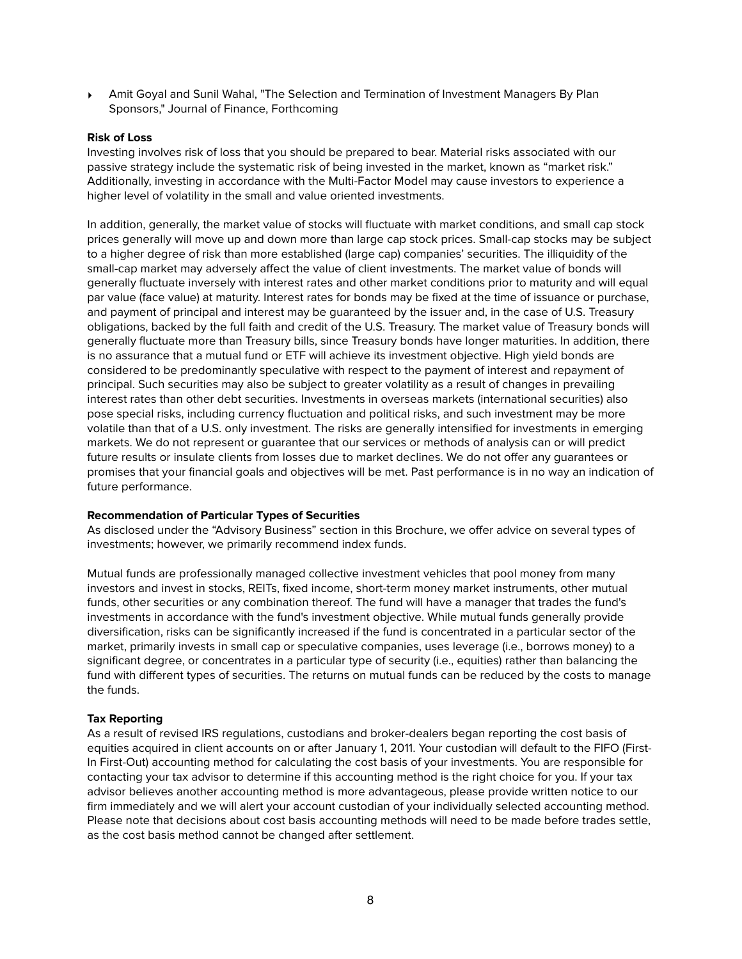‣ Amit Goyal and Sunil Wahal, "The Selection and Termination of Investment Managers By Plan Sponsors," Journal of Finance, Forthcoming

#### **Risk of Loss**

Investing involves risk of loss that you should be prepared to bear. Material risks associated with our passive strategy include the systematic risk of being invested in the market, known as "market risk." Additionally, investing in accordance with the Multi-Factor Model may cause investors to experience a higher level of volatility in the small and value oriented investments.

In addition, generally, the market value of stocks will fluctuate with market conditions, and small cap stock prices generally will move up and down more than large cap stock prices. Small-cap stocks may be subject to a higher degree of risk than more established (large cap) companies' securities. The illiquidity of the small-cap market may adversely affect the value of client investments. The market value of bonds will generally fluctuate inversely with interest rates and other market conditions prior to maturity and will equal par value (face value) at maturity. Interest rates for bonds may be fixed at the time of issuance or purchase, and payment of principal and interest may be guaranteed by the issuer and, in the case of U.S. Treasury obligations, backed by the full faith and credit of the U.S. Treasury. The market value of Treasury bonds will generally fluctuate more than Treasury bills, since Treasury bonds have longer maturities. In addition, there is no assurance that a mutual fund or ETF will achieve its investment objective. High yield bonds are considered to be predominantly speculative with respect to the payment of interest and repayment of principal. Such securities may also be subject to greater volatility as a result of changes in prevailing interest rates than other debt securities. Investments in overseas markets (international securities) also pose special risks, including currency fluctuation and political risks, and such investment may be more volatile than that of a U.S. only investment. The risks are generally intensified for investments in emerging markets. We do not represent or guarantee that our services or methods of analysis can or will predict future results or insulate clients from losses due to market declines. We do not offer any guarantees or promises that your financial goals and objectives will be met. Past performance is in no way an indication of future performance.

## **Recommendation of Particular Types of Securities**

As disclosed under the "Advisory Business" section in this Brochure, we offer advice on several types of investments; however, we primarily recommend index funds.

Mutual funds are professionally managed collective investment vehicles that pool money from many investors and invest in stocks, REITs, fixed income, short-term money market instruments, other mutual funds, other securities or any combination thereof. The fund will have a manager that trades the fund's investments in accordance with the fund's investment objective. While mutual funds generally provide diversification, risks can be significantly increased if the fund is concentrated in a particular sector of the market, primarily invests in small cap or speculative companies, uses leverage (i.e., borrows money) to a significant degree, or concentrates in a particular type of security (i.e., equities) rather than balancing the fund with different types of securities. The returns on mutual funds can be reduced by the costs to manage the funds.

## **Tax Reporting**

As a result of revised IRS regulations, custodians and broker-dealers began reporting the cost basis of equities acquired in client accounts on or after January 1, 2011. Your custodian will default to the FIFO (First-In First-Out) accounting method for calculating the cost basis of your investments. You are responsible for contacting your tax advisor to determine if this accounting method is the right choice for you. If your tax advisor believes another accounting method is more advantageous, please provide written notice to our firm immediately and we will alert your account custodian of your individually selected accounting method. Please note that decisions about cost basis accounting methods will need to be made before trades settle, as the cost basis method cannot be changed after settlement.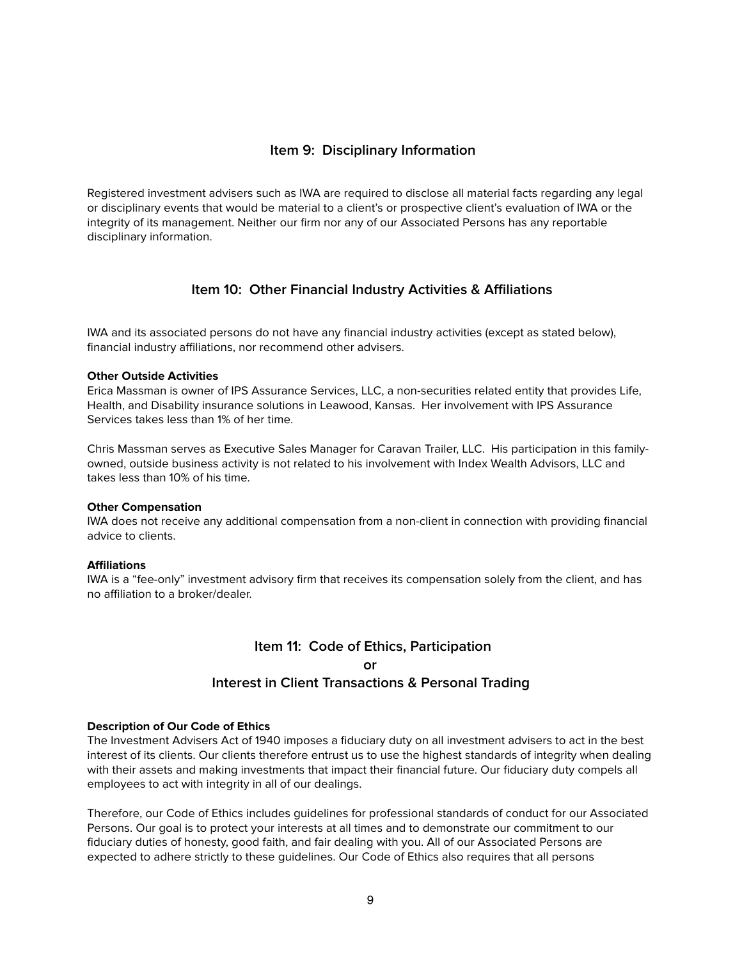## **Item 9: Disciplinary Information**

Registered investment advisers such as IWA are required to disclose all material facts regarding any legal or disciplinary events that would be material to a client's or prospective client's evaluation of IWA or the integrity of its management. Neither our firm nor any of our Associated Persons has any reportable disciplinary information.

## **Item 10: Other Financial Industry Activities & Affiliations**

IWA and its associated persons do not have any financial industry activities (except as stated below), financial industry affiliations, nor recommend other advisers.

#### **Other Outside Activities**

Erica Massman is owner of IPS Assurance Services, LLC, a non-securities related entity that provides Life, Health, and Disability insurance solutions in Leawood, Kansas. Her involvement with IPS Assurance Services takes less than 1% of her time.

Chris Massman serves as Executive Sales Manager for Caravan Trailer, LLC. His participation in this familyowned, outside business activity is not related to his involvement with Index Wealth Advisors, LLC and takes less than 10% of his time.

#### **Other Compensation**

IWA does not receive any additional compensation from a non-client in connection with providing financial advice to clients.

#### **Affiliations**

IWA is a "fee-only" investment advisory firm that receives its compensation solely from the client, and has no affiliation to a broker/dealer.

## **Item 11: Code of Ethics, Participation or Interest in Client Transactions & Personal Trading**

#### **Description of Our Code of Ethics**

The Investment Advisers Act of 1940 imposes a fiduciary duty on all investment advisers to act in the best interest of its clients. Our clients therefore entrust us to use the highest standards of integrity when dealing with their assets and making investments that impact their financial future. Our fiduciary duty compels all employees to act with integrity in all of our dealings.

Therefore, our Code of Ethics includes guidelines for professional standards of conduct for our Associated Persons. Our goal is to protect your interests at all times and to demonstrate our commitment to our fiduciary duties of honesty, good faith, and fair dealing with you. All of our Associated Persons are expected to adhere strictly to these guidelines. Our Code of Ethics also requires that all persons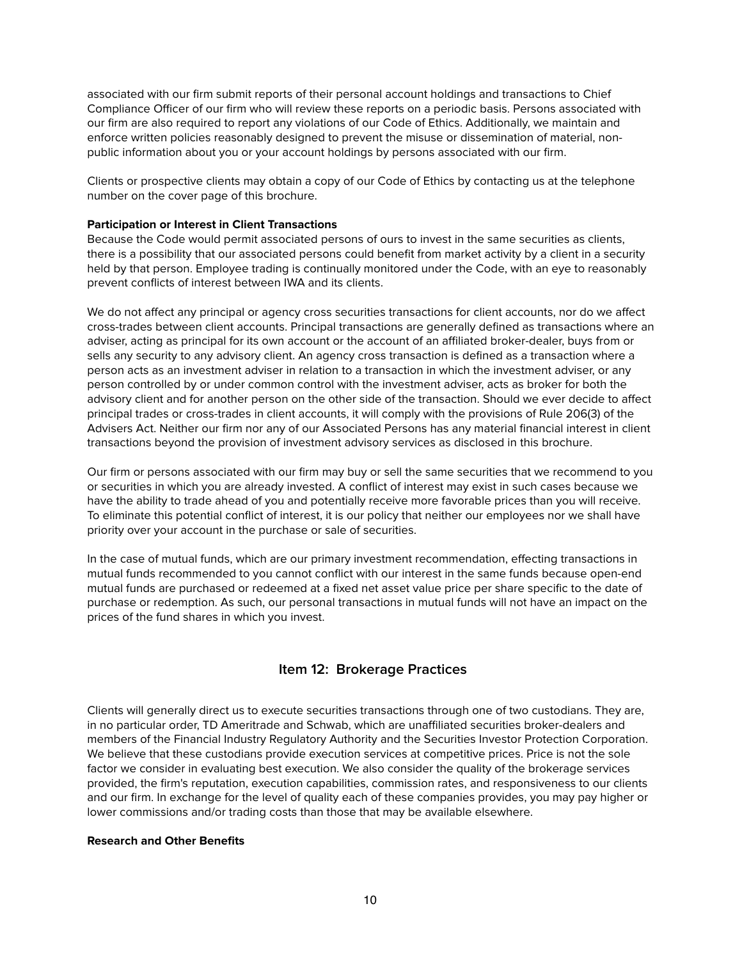associated with our firm submit reports of their personal account holdings and transactions to Chief Compliance Officer of our firm who will review these reports on a periodic basis. Persons associated with our firm are also required to report any violations of our Code of Ethics. Additionally, we maintain and enforce written policies reasonably designed to prevent the misuse or dissemination of material, nonpublic information about you or your account holdings by persons associated with our firm.

Clients or prospective clients may obtain a copy of our Code of Ethics by contacting us at the telephone number on the cover page of this brochure.

#### **Participation or Interest in Client Transactions**

Because the Code would permit associated persons of ours to invest in the same securities as clients, there is a possibility that our associated persons could benefit from market activity by a client in a security held by that person. Employee trading is continually monitored under the Code, with an eye to reasonably prevent conflicts of interest between IWA and its clients.

We do not affect any principal or agency cross securities transactions for client accounts, nor do we affect cross-trades between client accounts. Principal transactions are generally defined as transactions where an adviser, acting as principal for its own account or the account of an affiliated broker-dealer, buys from or sells any security to any advisory client. An agency cross transaction is defined as a transaction where a person acts as an investment adviser in relation to a transaction in which the investment adviser, or any person controlled by or under common control with the investment adviser, acts as broker for both the advisory client and for another person on the other side of the transaction. Should we ever decide to affect principal trades or cross-trades in client accounts, it will comply with the provisions of Rule 206(3) of the Advisers Act. Neither our firm nor any of our Associated Persons has any material financial interest in client transactions beyond the provision of investment advisory services as disclosed in this brochure.

Our firm or persons associated with our firm may buy or sell the same securities that we recommend to you or securities in which you are already invested. A conflict of interest may exist in such cases because we have the ability to trade ahead of you and potentially receive more favorable prices than you will receive. To eliminate this potential conflict of interest, it is our policy that neither our employees nor we shall have priority over your account in the purchase or sale of securities.

In the case of mutual funds, which are our primary investment recommendation, effecting transactions in mutual funds recommended to you cannot conflict with our interest in the same funds because open-end mutual funds are purchased or redeemed at a fixed net asset value price per share specific to the date of purchase or redemption. As such, our personal transactions in mutual funds will not have an impact on the prices of the fund shares in which you invest.

## **Item 12: Brokerage Practices**

Clients will generally direct us to execute securities transactions through one of two custodians. They are, in no particular order, TD Ameritrade and Schwab, which are unaffiliated securities broker-dealers and members of the Financial Industry Regulatory Authority and the Securities Investor Protection Corporation. We believe that these custodians provide execution services at competitive prices. Price is not the sole factor we consider in evaluating best execution. We also consider the quality of the brokerage services provided, the firm's reputation, execution capabilities, commission rates, and responsiveness to our clients and our firm. In exchange for the level of quality each of these companies provides, you may pay higher or lower commissions and/or trading costs than those that may be available elsewhere.

#### **Research and Other Benefits**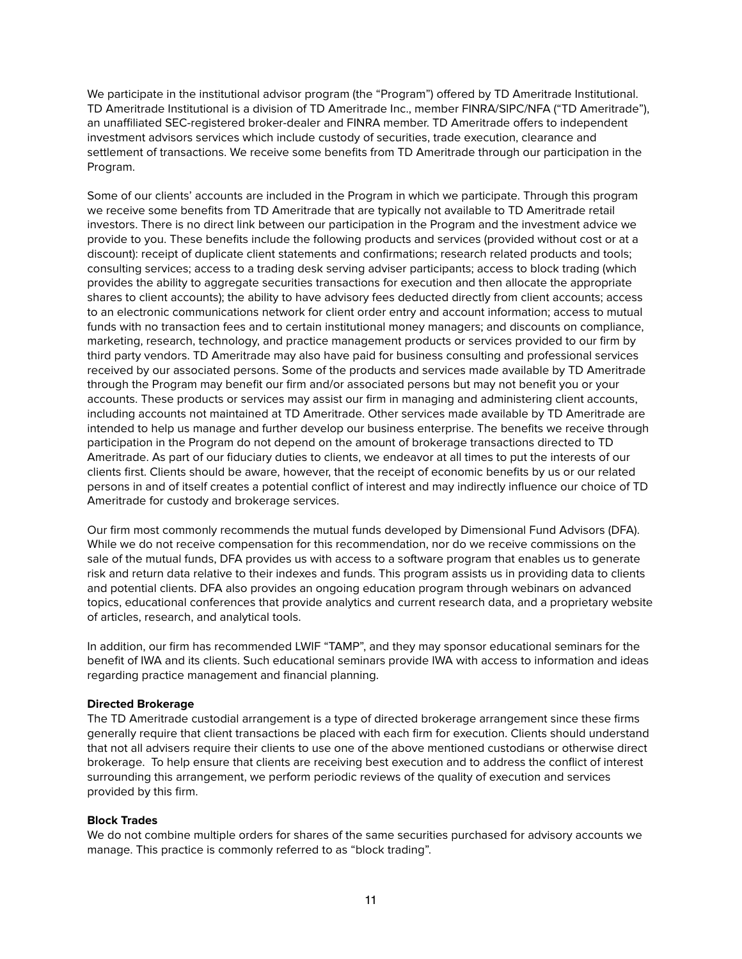We participate in the institutional advisor program (the "Program") offered by TD Ameritrade Institutional. TD Ameritrade Institutional is a division of TD Ameritrade Inc., member FINRA/SIPC/NFA ("TD Ameritrade"), an unaffiliated SEC-registered broker-dealer and FINRA member. TD Ameritrade offers to independent investment advisors services which include custody of securities, trade execution, clearance and settlement of transactions. We receive some benefits from TD Ameritrade through our participation in the Program.

Some of our clients' accounts are included in the Program in which we participate. Through this program we receive some benefits from TD Ameritrade that are typically not available to TD Ameritrade retail investors. There is no direct link between our participation in the Program and the investment advice we provide to you. These benefits include the following products and services (provided without cost or at a discount): receipt of duplicate client statements and confirmations; research related products and tools; consulting services; access to a trading desk serving adviser participants; access to block trading (which provides the ability to aggregate securities transactions for execution and then allocate the appropriate shares to client accounts); the ability to have advisory fees deducted directly from client accounts; access to an electronic communications network for client order entry and account information; access to mutual funds with no transaction fees and to certain institutional money managers; and discounts on compliance, marketing, research, technology, and practice management products or services provided to our firm by third party vendors. TD Ameritrade may also have paid for business consulting and professional services received by our associated persons. Some of the products and services made available by TD Ameritrade through the Program may benefit our firm and/or associated persons but may not benefit you or your accounts. These products or services may assist our firm in managing and administering client accounts, including accounts not maintained at TD Ameritrade. Other services made available by TD Ameritrade are intended to help us manage and further develop our business enterprise. The benefits we receive through participation in the Program do not depend on the amount of brokerage transactions directed to TD Ameritrade. As part of our fiduciary duties to clients, we endeavor at all times to put the interests of our clients first. Clients should be aware, however, that the receipt of economic benefits by us or our related persons in and of itself creates a potential conflict of interest and may indirectly influence our choice of TD Ameritrade for custody and brokerage services.

Our firm most commonly recommends the mutual funds developed by Dimensional Fund Advisors (DFA). While we do not receive compensation for this recommendation, nor do we receive commissions on the sale of the mutual funds, DFA provides us with access to a software program that enables us to generate risk and return data relative to their indexes and funds. This program assists us in providing data to clients and potential clients. DFA also provides an ongoing education program through webinars on advanced topics, educational conferences that provide analytics and current research data, and a proprietary website of articles, research, and analytical tools.

In addition, our firm has recommended LWIF "TAMP", and they may sponsor educational seminars for the benefit of IWA and its clients. Such educational seminars provide IWA with access to information and ideas regarding practice management and financial planning.

## **Directed Brokerage**

The TD Ameritrade custodial arrangement is a type of directed brokerage arrangement since these firms generally require that client transactions be placed with each firm for execution. Clients should understand that not all advisers require their clients to use one of the above mentioned custodians or otherwise direct brokerage. To help ensure that clients are receiving best execution and to address the conflict of interest surrounding this arrangement, we perform periodic reviews of the quality of execution and services provided by this firm.

## **Block Trades**

We do not combine multiple orders for shares of the same securities purchased for advisory accounts we manage. This practice is commonly referred to as "block trading".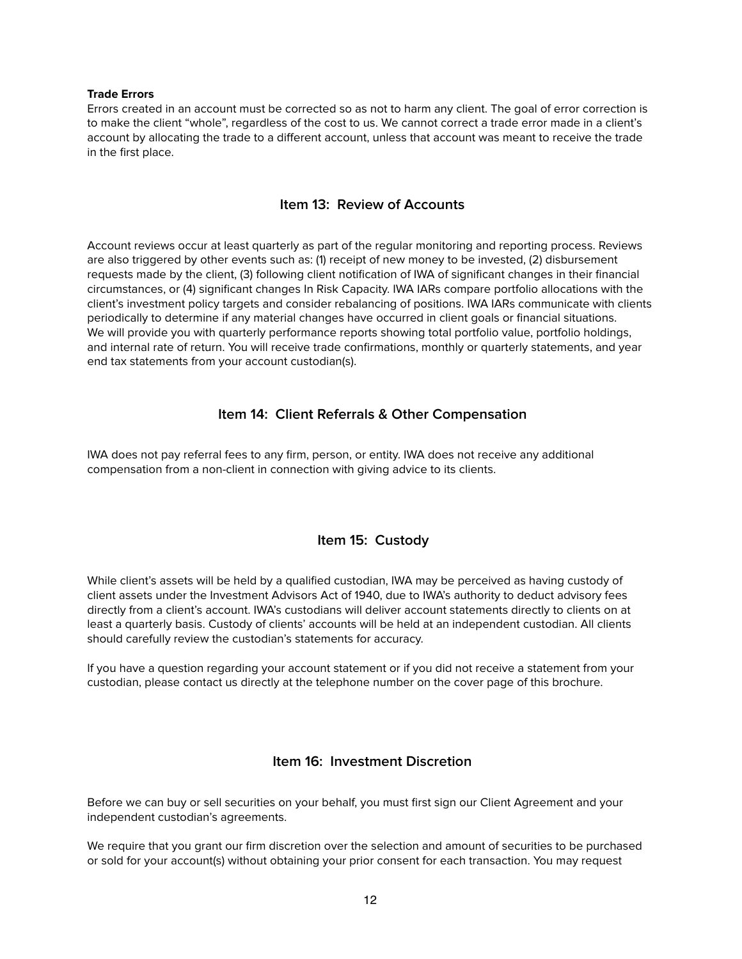#### **Trade Errors**

Errors created in an account must be corrected so as not to harm any client. The goal of error correction is to make the client "whole", regardless of the cost to us. We cannot correct a trade error made in a client's account by allocating the trade to a different account, unless that account was meant to receive the trade in the first place.

## **Item 13: Review of Accounts**

Account reviews occur at least quarterly as part of the regular monitoring and reporting process. Reviews are also triggered by other events such as: (1) receipt of new money to be invested, (2) disbursement requests made by the client, (3) following client notification of IWA of significant changes in their financial circumstances, or (4) significant changes In Risk Capacity. IWA IARs compare portfolio allocations with the client's investment policy targets and consider rebalancing of positions. IWA IARs communicate with clients periodically to determine if any material changes have occurred in client goals or financial situations. We will provide you with quarterly performance reports showing total portfolio value, portfolio holdings, and internal rate of return. You will receive trade confirmations, monthly or quarterly statements, and year end tax statements from your account custodian(s).

## **Item 14: Client Referrals & Other Compensation**

IWA does not pay referral fees to any firm, person, or entity. IWA does not receive any additional compensation from a non-client in connection with giving advice to its clients.

## **Item 15: Custody**

While client's assets will be held by a qualified custodian, IWA may be perceived as having custody of client assets under the Investment Advisors Act of 1940, due to IWA's authority to deduct advisory fees directly from a client's account. IWA's custodians will deliver account statements directly to clients on at least a quarterly basis. Custody of clients' accounts will be held at an independent custodian. All clients should carefully review the custodian's statements for accuracy.

If you have a question regarding your account statement or if you did not receive a statement from your custodian, please contact us directly at the telephone number on the cover page of this brochure.

## **Item 16: Investment Discretion**

Before we can buy or sell securities on your behalf, you must first sign our Client Agreement and your independent custodian's agreements.

We require that you grant our firm discretion over the selection and amount of securities to be purchased or sold for your account(s) without obtaining your prior consent for each transaction. You may request